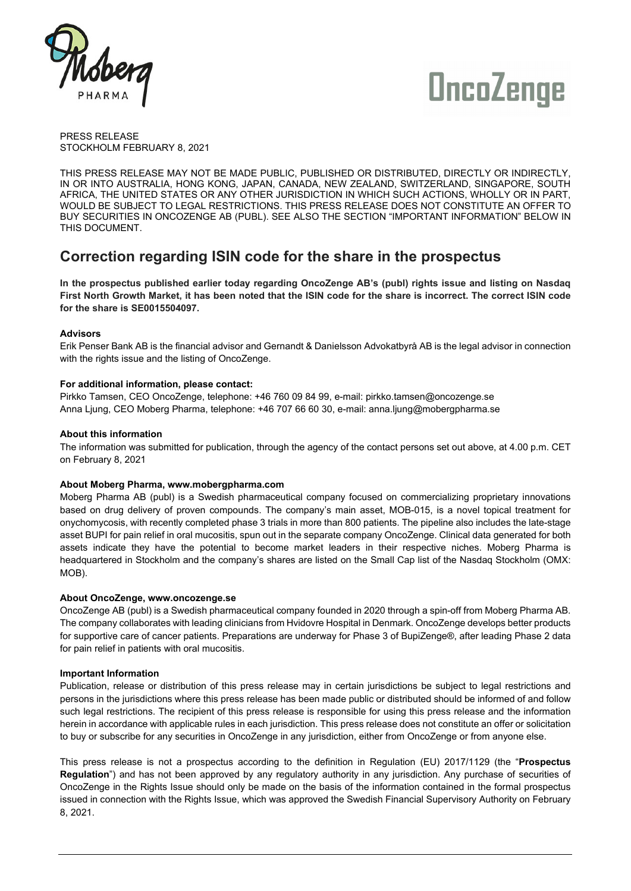



PRESS RELEASE STOCKHOLM FEBRUARY 8, 2021

THIS PRESS RELEASE MAY NOT BE MADE PUBLIC, PUBLISHED OR DISTRIBUTED, DIRECTLY OR INDIRECTLY, IN OR INTO AUSTRALIA, HONG KONG, JAPAN, CANADA, NEW ZEALAND, SWITZERLAND, SINGAPORE, SOUTH AFRICA, THE UNITED STATES OR ANY OTHER JURISDICTION IN WHICH SUCH ACTIONS, WHOLLY OR IN PART, WOULD BE SUBJECT TO LEGAL RESTRICTIONS. THIS PRESS RELEASE DOES NOT CONSTITUTE AN OFFER TO BUY SECURITIES IN ONCOZENGE AB (PUBL). SEE ALSO THE SECTION "IMPORTANT INFORMATION" BELOW IN THIS DOCUMENT.

# **Correction regarding ISIN code for the share in the prospectus**

**In the prospectus published earlier today regarding OncoZenge AB's (publ) rights issue and listing on Nasdaq First North Growth Market, it has been noted that the ISIN code for the share is incorrect. The correct ISIN code for the share is SE0015504097.**

# **Advisors**

Erik Penser Bank AB is the financial advisor and Gernandt & Danielsson Advokatbyrå AB is the legal advisor in connection with the rights issue and the listing of OncoZenge.

# **For additional information, please contact:**

Pirkko Tamsen, CEO OncoZenge, telephone: +46 760 09 84 99, e-mail: pirkko.tamsen@oncozenge.se Anna Ljung, CEO Moberg Pharma, telephone: +46 707 66 60 30, e-mail: anna.ljung@mobergpharma.se

## **About this information**

The information was submitted for publication, through the agency of the contact persons set out above, at 4.00 p.m. CET on February 8, 2021

#### **About Moberg Pharma, www.mobergpharma.com**

Moberg Pharma AB (publ) is a Swedish pharmaceutical company focused on commercializing proprietary innovations based on drug delivery of proven compounds. The company's main asset, MOB-015, is a novel topical treatment for onychomycosis, with recently completed phase 3 trials in more than 800 patients. The pipeline also includes the late-stage asset BUPI for pain relief in oral mucositis, spun out in the separate company OncoZenge. Clinical data generated for both assets indicate they have the potential to become market leaders in their respective niches. Moberg Pharma is headquartered in Stockholm and the company's shares are listed on the Small Cap list of the Nasdaq Stockholm (OMX: MOB).

#### **About OncoZenge, www.oncozenge.se**

OncoZenge AB (publ) is a Swedish pharmaceutical company founded in 2020 through a spin-off from Moberg Pharma AB. The company collaborates with leading clinicians from Hvidovre Hospital in Denmark. OncoZenge develops better products for supportive care of cancer patients. Preparations are underway for Phase 3 of BupiZenge®, after leading Phase 2 data for pain relief in patients with oral mucositis.

#### **Important Information**

Publication, release or distribution of this press release may in certain jurisdictions be subject to legal restrictions and persons in the jurisdictions where this press release has been made public or distributed should be informed of and follow such legal restrictions. The recipient of this press release is responsible for using this press release and the information herein in accordance with applicable rules in each jurisdiction. This press release does not constitute an offer or solicitation to buy or subscribe for any securities in OncoZenge in any jurisdiction, either from OncoZenge or from anyone else.

This press release is not a prospectus according to the definition in Regulation (EU) 2017/1129 (the "**Prospectus Regulation**") and has not been approved by any regulatory authority in any jurisdiction. Any purchase of securities of OncoZenge in the Rights Issue should only be made on the basis of the information contained in the formal prospectus issued in connection with the Rights Issue, which was approved the Swedish Financial Supervisory Authority on February 8, 2021.